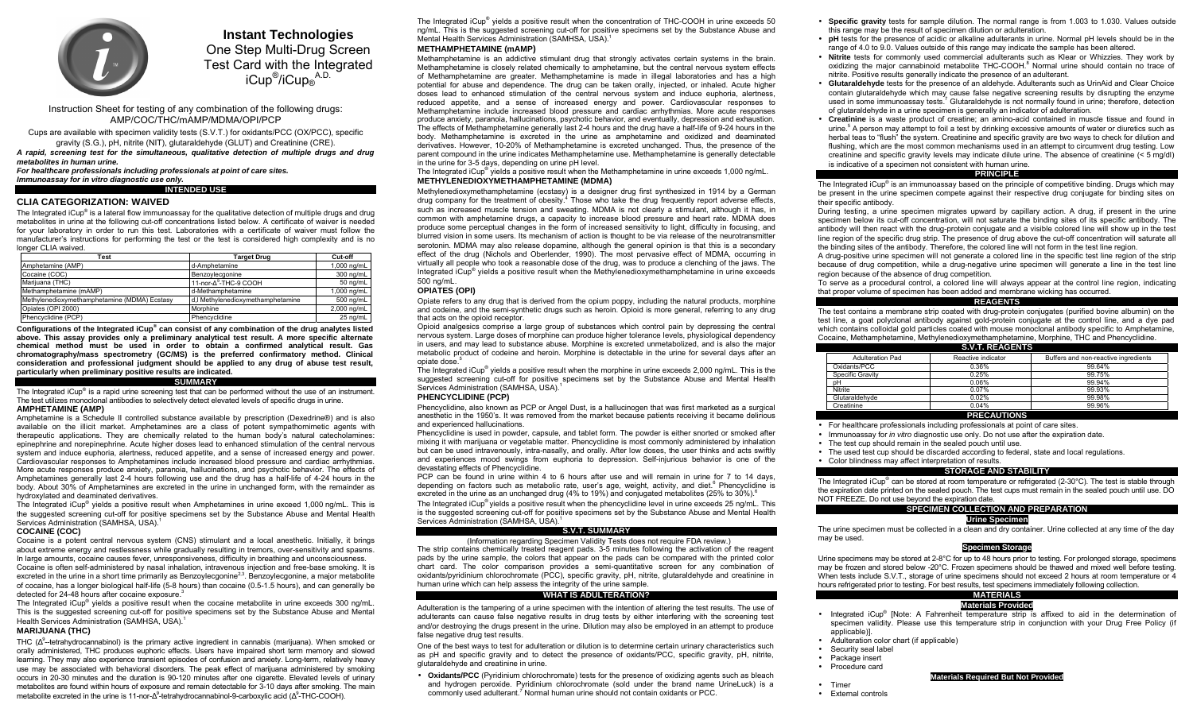

# **Instant Technologies** One Step Multi-Drug Screen

Test Card with the Integrated iCup<sup>®</sup>/iCup<sub>®</sub><sup>A.D.</sup>

Instruction Sheet for testing of any combination of the following drugs: AMP/COC/THC/mAMP/MDMA/OPI/PCP

Cups are available with specimen validity tests (S.V.T.) for oxidants/PCC (OX/PCC), specific gravity (S.G.), pH, nitrite (NIT), glutaraldehyde (GLUT) and Creatinine (CRE).

*A rapid, screening test for the simultaneous, qualitative detection of multiple drugs and drug metabolites in human urine.* 

*For healthcare professionals including professionals at point of care sites. Immunoassay for in vitro diagnostic use only.* 

#### **INTENDED USE**

# **CLIA CATEGORIZATION: WAIVED**

The Integrated  $ICup<sup>®</sup>$  is a lateral flow immunoassay for the qualitative detection of multiple drugs and drug metabolites in urine at the following cut-off concentrations listed below. A certificate of waiver is needed for your laboratory in order to run this test. Laboratories with a certificate of waiver must follow the manufacturerís instructions for performing the test or the test is considered high complexity and is no longer CLIA waived.

| Test                                         | <b>Target Drug</b>                | Cut-off     |
|----------------------------------------------|-----------------------------------|-------------|
| Amphetamine (AMP)                            | d-Amphetamine                     | 1,000 ng/mL |
| Cocaine (COC)                                | Benzoylecgonine                   | 300 ng/mL   |
| Marijuana (THC)                              | 11-nor- $\Delta^9$ -THC-9 COOH    | 50 ng/mL    |
| Methamphetamine (mAMP)                       | d-Methamphetamine                 | 1,000 ng/mL |
| Methylenedioxymethamphetamine (MDMA) Ecstasy | d,I Methylenedioxymethamphetamine | 500 ng/mL   |
| Opiates (OPI 2000)                           | Morphine                          | 2,000 ng/mL |
| Phencyclidine (PCP)                          | Phencyclidine                     | 25 na/mL    |

**Configurations of the Integrated iCup® can consist of any combination of the drug analytes listed above. This assay provides only a preliminary analytical test result. A more specific alternate chemical method must be used in order to obtain a confirmed analytical result. Gas chromatography/mass spectrometry (GC/MS) is the preferred confirmatory method. Clinical consideration and professional judgment should be applied to any drug of abuse test result, particularly when preliminary positive results are indicated.** 

#### **SUMMARY**

The Integrated iCup® is a rapid urine screening test that can be performed without the use of an instrument. The test utilizes monoclonal antibodies to selectively detect elevated levels of specific drugs in urine. **AMPHETAMINE (AMP)** 

Amphetamine is a Schedule II controlled substance available by prescription (Dexedrine®) and is also available on the illicit market. Amphetamines are a class of potent sympathomimetic agents with therapeutic applications. They are chemically related to the human body's natural catecholamines: epinephrine and norepinephrine. Acute higher doses lead to enhanced stimulation of the central nervous system and induce euphoria, alertness, reduced appetite, and a sense of increased energy and power. Cardiovascular responses to Amphetamines include increased blood pressure and cardiac arrhythmias. More acute responses produce anxiety, paranoia, hallucinations, and psychotic behavior. The effects of Amphetamines generally last 2-4 hours following use and the drug has a half-life of 4-24 hours in the body. About 30% of Amphetamines are excreted in the urine in unchanged form, with the remainder as hydroxylated and deaminated derivatives.

The Integrated iCup® yields a positive result when Amphetamines in urine exceed 1,000 ng/mL. This is the suggested screening cut-off for positive specimens set by the Substance Abuse and Mental Health Services Administration (SAMHSA, USA).<sup>1</sup>

# **COCAINE (COC)**

Cocaine is a potent central nervous system (CNS) stimulant and a local anesthetic. Initially, it brings about extreme energy and restlessness while gradually resulting in tremors, over-sensitivity and spasms. In large amounts, cocaine causes fever, unresponsiveness, difficulty in breathing and unconsciousness. Cocaine is often self-administered by nasal inhalation, intravenous injection and free-base smoking. It is excreted in the urine in a short time primarily as Benzoylecgonine<sup>2,3</sup>. Benzoylecgonine, a major metabolite of cocaine, has a longer biological half-life (5-8 hours) than cocaine (0.5-1.5 hours), and can generally be detected for 24-48 hours after cocaine exposure.<sup>3</sup>

The Integrated iCup® yields a positive result when the cocaine metabolite in urine exceeds 300 ng/mL. This is the suggested screening cut-off for positive specimens set by the Substance Abuse and Mental Health Services Administration (SAMHSA, USA).<sup>1</sup>

# **MARIJUANA (THC)**

THC ( $\Delta^9$ -tetrahydrocannabinol) is the primary active ingredient in cannabis (marijuana). When smoked or orally administered, THC produces euphoric effects. Users have impaired short term memory and slowed learning. They may also experience transient episodes of confusion and anxiety. Long-term, relatively heavy use may be associated with behavioral disorders. The peak effect of marijuana administered by smoking occurs in 20-30 minutes and the duration is 90-120 minutes after one cigarette. Elevated levels of urinary metabolites are found within hours of exposure and remain detectable for 3-10 days after smoking. The main metabolite excreted in the urine is 11-nor-Δ<sup>9</sup>-tetrahydrocannabinol-9-carboxylic acid (Δ<sup>9</sup>-THC-COOH).

The Integrated  $ICUD<sup>®</sup>$  yields a positive result when the concentration of THC-COOH in urine exceeds 50 ng/mL. This is the suggested screening cut-off for positive specimens set by the Substance Abuse and Mental Health Services Administration (SAMHSA, USA).<sup>1</sup>

# **METHAMPHETAMINE (mAMP)**

Methamphetamine is an addictive stimulant drug that strongly activates certain systems in the brain. Methamphetamine is closely related chemically to amphetamine, but the central nervous system effects of Methamphetamine are greater. Methamphetamine is made in illegal laboratories and has a high potential for abuse and dependence. The drug can be taken orally, injected, or inhaled. Acute higher doses lead to enhanced stimulation of the central nervous system and induce euphoria, alertness, reduced appetite, and a sense of increased energy and power. Cardiovascular responses to Methamphetamine include increased blood pressure and cardiac arrhythmias. More acute responses produce anxiety, paranoia, hallucinations, psychotic behavior, and eventually, depression and exhaustion. The effects of Methamphetamine generally last 2-4 hours and the drug have a half-life of 9-24 hours in the body. Methamphetamine is excreted in the urine as amphetamine and oxidized and deaminated derivatives. However, 10-20% of Methamphetamine is excreted unchanged. Thus, the presence of the parent compound in the urine indicates Methamphetamine use. Methamphetamine is generally detectable in the urine for 3-5 days, depending on urine pH level.

The Integrated iCup® yields a positive result when the Methamphetamine in urine exceeds 1,000 ng/mL. **METHYLENEDIOXYMETHAMPHETAMINE (MDMA)**

Methylenedioxymethamphetamine (ecstasy) is a designer drug first synthesized in 1914 by a German drug company for the treatment of obesity.4 Those who take the drug frequently report adverse effects, such as increased muscle tension and sweating. MDMA is not clearly a stimulant, although it has, in common with amphetamine drugs, a capacity to increase blood pressure and heart rate. MDMA does produce some perceptual changes in the form of increased sensitivity to light, difficulty in focusing, and blurred vision in some users. Its mechanism of action is thought to be via release of the neurotransmitter serotonin. MDMA may also release dopamine, although the general opinion is that this is a secondary effect of the drug (Nichols and Oberlender, 1990). The most pervasive effect of MDMA, occurring in virtually all people who took a reasonable dose of the drug, was to produce a clenching of the jaws. The Integrated  $ICup<sup>®</sup>$  yields a positive result when the Methylenedioxymethamphetamine in urine exceeds 500 ng/mL.

# **OPIATES (OPI)**

Opiate refers to any drug that is derived from the opium poppy, including the natural products, morphine and codeine, and the semi-synthetic drugs such as heroin. Opioid is more general, referring to any drug that acts on the opioid receptor.

Opioid analgesics comprise a large group of substances which control pain by depressing the central nervous system. Large doses of morphine can produce higher tolerance levels, physiological dependency in users, and may lead to substance abuse. Morphine is excreted unmetabolized, and is also the major metabolic product of codeine and heroin. Morphine is detectable in the urine for several days after an opiate dose.<sup>5</sup>

The Integrated  $ICUD^{\otimes}$  yields a positive result when the morphine in urine exceeds 2,000 ng/mL. This is the suggested screening cut-off for positive specimens set by the Substance Abuse and Mental Health Services Administration (SAMHSA, USA).<sup>1</sup>

# **PHENCYCLIDINE (PCP)**

Phencyclidine, also known as PCP or Angel Dust, is a hallucinogen that was first marketed as a surgical anesthetic in the 1950ís. It was removed from the market because patients receiving it became delirious and experienced hallucinations.

Phencyclidine is used in powder, capsule, and tablet form. The powder is either snorted or smoked after mixing it with marijuana or vegetable matter. Phencyclidine is most commonly administered by inhalation but can be used intravenously, intra-nasally, and orally. After low doses, the user thinks and acts swiftly and experiences mood swings from euphoria to depression. Self-injurious behavior is one of the devastating effects of Phencyclidine.

PCP can be found in urine within 4 to 6 hours after use and will remain in urine for 7 to 14 days. depending on factors such as metabolic rate, user's age, weight, activity, and diet.<sup>6</sup> Phencyclidine is excreted in the urine as an unchanged drug (4% to 19%) and conjugated metabolites (25% to 30%).<sup>6</sup>

The Integrated  $ICUD<sup>®</sup>$  vields a positive result when the phencyclidine level in urine exceeds 25 ng/mL. This is the suggested screening cut-off for positive specimens set by the Substance Abuse and Mental Health Services Administration (SAMHSA, USA).<sup>1</sup>

# **S.V.T. SUMMARY**

# (Information regarding Specimen Validity Tests does not require FDA review.)

The strip contains chemically treated reagent pads. 3-5 minutes following the activation of the reagent pads by the urine sample, the colors that appear on the pads can be compared with the printed color chart card. The color comparison provides a semi-quantitative screen for any combination of oxidants/pyridinium chlorochromate (PCC), specific gravity, pH, nitrite, glutaraldehyde and creatinine in human urine which can help assess the integrity of the urine sample.

#### **WHAT IS ADULTERATION?**

Adulteration is the tampering of a urine specimen with the intention of altering the test results. The use of adulterants can cause false negative results in drug tests by either interfering with the screening test and/or destroying the drugs present in the urine. Dilution may also be employed in an attempt to produce false negative drug test results.

One of the best ways to test for adulteration or dilution is to determine certain urinary characteristics such as pH and specific gravity and to detect the presence of oxidants/PCC, specific gravity, pH, nitrite, glutaraldehyde and creatinine in urine.

• **Oxidants/PCC** (Pyridinium chlorochromate) tests for the presence of oxidizing agents such as bleach and hydrogen peroxide. Pyridinium chlorochromate (sold under the brand name UrineLuck) is a commonly used adulterant.7 Normal human urine should not contain oxidants or PCC.

- **Specific gravity** tests for sample dilution. The normal range is from 1.003 to 1.030. Values outside this range may be the result of specimen dilution or adulteration.
- **pH** tests for the presence of acidic or alkaline adulterants in urine. Normal pH levels should be in the range of 4.0 to 9.0. Values outside of this range may indicate the sample has been altered.
- **Nitrite** tests for commonly used commercial adulterants such as Klear or Whizzies. They work by oxidizing the major cannabinoid metabolite THC-COOH.8 Normal urine should contain no trace of nitrite. Positive results generally indicate the presence of an adulterant.
- **Glutaraldehyde** tests for the presence of an aldehyde. Adulterants such as UrinAid and Clear Choice contain glutaraldehyde which may cause false negative screening results by disrupting the enzyme used in some immunoassay tests.<sup>7</sup> Glutaraldehyde is not normally found in urine; therefore, detection of glutaraldehyde in a urine specimen is generally an indicator of adulteration.
- **Creatinine** is a waste product of creatine; an amino-acid contained in muscle tissue and found in urine.<sup>5</sup> A person may attempt to foil a test by drinking excessive amounts of water or diuretics such as herbal teas to "flush" the system. Creatinine and specific gravity are two ways to check for dilution and flushing, which are the most common mechanisms used in an attempt to circumvent drug testing. Low creatinine and specific gravity levels may indicate dilute urine. The absence of creatinine  $($  < 5 mg/dl) is indicative of a specimen not consistent with human urine.

#### **PRINCIPLE**

The Integrated  $ICup<sup>®</sup>$  is an immunoassay based on the principle of competitive binding. Drugs which may be present in the urine specimen compete against their respective drug conjugate for binding sites on their specific antibody.

During testing, a urine specimen migrates upward by capillary action. A drug, if present in the urine specimen below its cut-off concentration, will not saturate the binding sites of its specific antibody. The antibody will then react with the drug-protein conjugate and a visible colored line will show up in the test line region of the specific drug strip. The presence of drug above the cut-off concentration will saturate all the binding sites of the antibody. Therefore, the colored line will not form in the test line region.

A drug-positive urine specimen will not generate a colored line in the specific test line region of the strip because of drug competition, while a drug-negative urine specimen will generate a line in the test line region because of the absence of drug competition.

To serve as a procedural control, a colored line will always appear at the control line region, indicating that proper volume of specimen has been added and membrane wicking has occurred.

# **REAGENTS**

The test contains a membrane strip coated with drug-protein conjugates (purified bovine albumin) on the test line, a goat polyclonal antibody against gold-protein conjugate at the control line, and a dye pad which contains colloidal gold particles coated with mouse monoclonal antibody specific to Amphetamine. Cocaine, Methamphetamine, Methylenedioxymethamphetamine, Morphine, THC and Phencyclidine. **S.V.T. REAGENTS** 

| 0.1.1.110               |                    |                                      |  |  |  |
|-------------------------|--------------------|--------------------------------------|--|--|--|
| <b>Adulteration Pad</b> | Reactive indicator | Buffers and non-reactive ingredients |  |  |  |
| Oxidants/PCC            | 0.36%              | 99.64%                               |  |  |  |
| Specific Gravity        | 0.25%              | 99.75%                               |  |  |  |
| pH                      | 0.06%              | 99.94%                               |  |  |  |
| <b>Nitrite</b>          | 0.07%              | 99.93%                               |  |  |  |
| Glutaraldehyde          | 0.02%              | 99.98%                               |  |  |  |
| Creatinine              | 0.04%              | 99.96%                               |  |  |  |
|                         | <b>PRECAUTIONS</b> |                                      |  |  |  |

- For healthcare professionals including professionals at point of care sites.
- Immunoassay for *in vitro* diagnostic use only. Do not use after the expiration date.
- The test cup should remain in the sealed pouch until use.
- The used test cup should be discarded according to federal, state and local regulations.
- Color blindness may affect interpretation of results.

# **STORAGE AND STABILITY**

The Integrated iCup® can be stored at room temperature or refrigerated (2-30 $^{\circ}$ C). The test is stable through the expiration date printed on the sealed pouch. The test cups must remain in the sealed pouch until use. DO NOT FREEZE. Do not use beyond the expiration date.

# **SPECIMEN COLLECTION AND PREPARATION**

# **Urine Specimen**

The urine specimen must be collected in a clean and dry container. Urine collected at any time of the day may be used.

# **Specimen Storage**

Urine specimens may be stored at 2-8°C for up to 48 hours prior to testing. For prolonged storage, specimens may be frozen and stored below -20°C. Frozen specimens should be thawed and mixed well before testing. When tests include S.V.T., storage of urine specimens should not exceed 2 hours at room temperature or 4 hours refrigerated prior to testing. For best results, test specimens immediately following collection.

# **MATERIALS**

# **Materials Provided**

- Integrated iCup® [Note: A Fahrenheit temperature strip is affixed to aid in the determination of specimen validity. Please use this temperature strip in conjunction with your Drug Free Policy (if applicable)].
- Adulteration color chart (if applicable)
- Security seal label
- Package insert
- Procedure card

• Timer

# **Materials Required But Not Provided**

• External controls